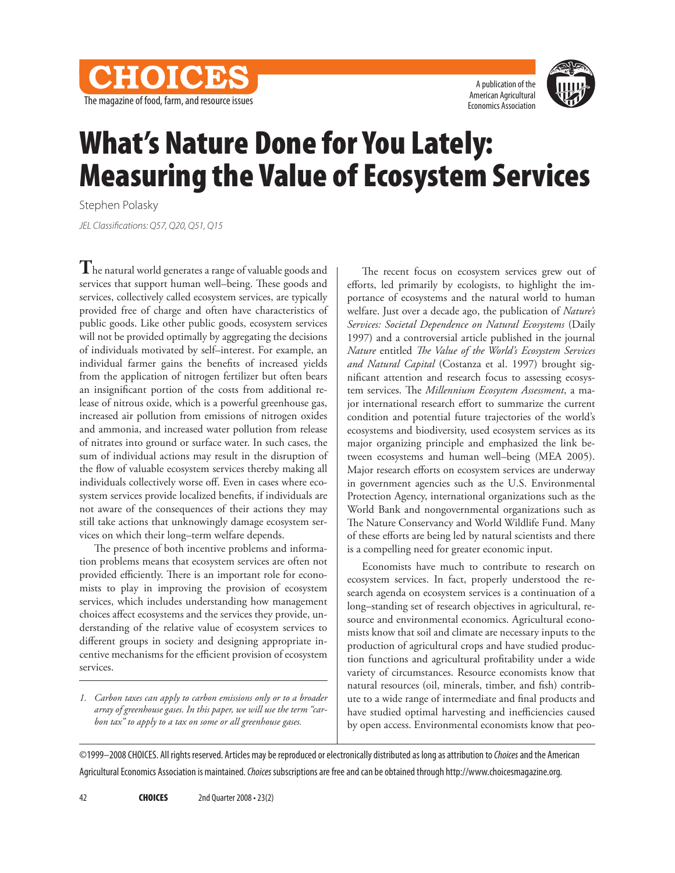



# What's Nature Done for You Lately: Measuring the Value of Ecosystem Services

Stephen Polasky

JEL Classifications: Q57, Q20, Q51, Q15

**T**he natural world generates a range of valuable goods and services that support human well-being. These goods and services, collectively called ecosystem services, are typically provided free of charge and often have characteristics of public goods. Like other public goods, ecosystem services will not be provided optimally by aggregating the decisions of individuals motivated by self–interest. For example, an individual farmer gains the benefits of increased yields from the application of nitrogen fertilizer but often bears an insignificant portion of the costs from additional release of nitrous oxide, which is a powerful greenhouse gas, increased air pollution from emissions of nitrogen oxides and ammonia, and increased water pollution from release of nitrates into ground or surface water. In such cases, the sum of individual actions may result in the disruption of the flow of valuable ecosystem services thereby making all individuals collectively worse off. Even in cases where ecosystem services provide localized benefits, if individuals are not aware of the consequences of their actions they may still take actions that unknowingly damage ecosystem services on which their long–term welfare depends.

The presence of both incentive problems and information problems means that ecosystem services are often not provided efficiently. There is an important role for economists to play in improving the provision of ecosystem services, which includes understanding how management choices affect ecosystems and the services they provide, understanding of the relative value of ecosystem services to different groups in society and designing appropriate incentive mechanisms for the efficient provision of ecosystem services.

*1. Carbon taxes can apply to carbon emissions only or to a broader array of greenhouse gases. In this paper, we will use the term "carbon tax" to apply to a tax on some or all greenhouse gases.*

The recent focus on ecosystem services grew out of efforts, led primarily by ecologists, to highlight the importance of ecosystems and the natural world to human welfare. Just over a decade ago, the publication of *Nature's Services: Societal Dependence on Natural Ecosystems* (Daily 1997) and a controversial article published in the journal *Nature* entitled *!e Value of the World's Ecosystem Services and Natural Capital* (Costanza et al. 1997) brought significant attention and research focus to assessing ecosystem services. The *Millennium Ecosystem Assessment*, a major international research effort to summarize the current condition and potential future trajectories of the world's ecosystems and biodiversity, used ecosystem services as its major organizing principle and emphasized the link between ecosystems and human well–being (MEA 2005). Major research efforts on ecosystem services are underway in government agencies such as the U.S. Environmental Protection Agency, international organizations such as the World Bank and nongovernmental organizations such as The Nature Conservancy and World Wildlife Fund. Many of these efforts are being led by natural scientists and there is a compelling need for greater economic input.

Economists have much to contribute to research on ecosystem services. In fact, properly understood the research agenda on ecosystem services is a continuation of a long–standing set of research objectives in agricultural, resource and environmental economics. Agricultural economists know that soil and climate are necessary inputs to the production of agricultural crops and have studied production functions and agricultural profitability under a wide variety of circumstances. Resource economists know that natural resources (oil, minerals, timber, and fish) contribute to a wide range of intermediate and final products and have studied optimal harvesting and inefficiencies caused by open access. Environmental economists know that peo-

©1999–2008 CHOICES. All rights reserved. Articles may be reproduced or electronically distributed as long as attribution to Choices and the American Agricultural Economics Association is maintained. Choices subscriptions are free and can be obtained through http://www.choicesmagazine.org.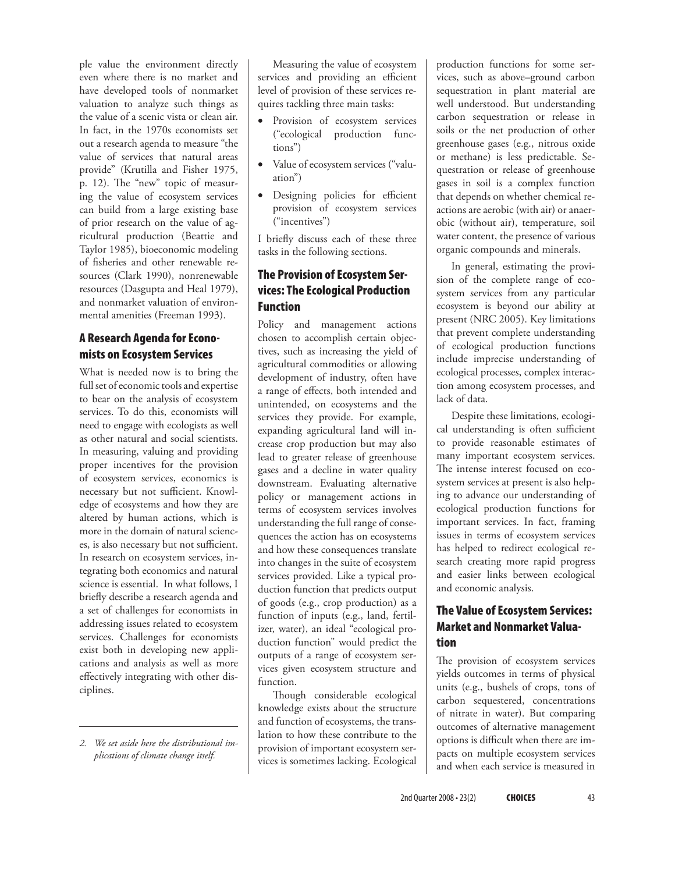ple value the environment directly even where there is no market and have developed tools of nonmarket valuation to analyze such things as the value of a scenic vista or clean air. In fact, in the 1970s economists set out a research agenda to measure "the value of services that natural areas provide" (Krutilla and Fisher 1975, p. 12). The "new" topic of measuring the value of ecosystem services can build from a large existing base of prior research on the value of agricultural production (Beattie and Taylor 1985), bioeconomic modeling of fisheries and other renewable resources (Clark 1990), nonrenewable resources (Dasgupta and Heal 1979), and nonmarket valuation of environmental amenities (Freeman 1993).

### A Research Agenda for Economists on Ecosystem Services

What is needed now is to bring the full set of economic tools and expertise to bear on the analysis of ecosystem services. To do this, economists will need to engage with ecologists as well as other natural and social scientists. In measuring, valuing and providing proper incentives for the provision of ecosystem services, economics is necessary but not sufficient. Knowledge of ecosystems and how they are altered by human actions, which is more in the domain of natural sciences, is also necessary but not sufficient. In research on ecosystem services, integrating both economics and natural science is essential. In what follows, I briefly describe a research agenda and a set of challenges for economists in addressing issues related to ecosystem services. Challenges for economists exist both in developing new applications and analysis as well as more effectively integrating with other disciplines.

Measuring the value of ecosystem services and providing an efficient level of provision of these services requires tackling three main tasks:

- Provision of ecosystem services ("ecological production functions")
- Value of ecosystem services ("valuation")
- v Designing policies for efficient provision of ecosystem services ("incentives")

I briefly discuss each of these three tasks in the following sections.

### The Provision of Ecosystem Services: The Ecological Production Function

Policy and management actions chosen to accomplish certain objectives, such as increasing the yield of agricultural commodities or allowing development of industry, often have a range of effects, both intended and unintended, on ecosystems and the services they provide. For example, expanding agricultural land will increase crop production but may also lead to greater release of greenhouse gases and a decline in water quality downstream. Evaluating alternative policy or management actions in terms of ecosystem services involves understanding the full range of consequences the action has on ecosystems and how these consequences translate into changes in the suite of ecosystem services provided. Like a typical production function that predicts output of goods (e.g., crop production) as a function of inputs (e.g., land, fertilizer, water), an ideal "ecological production function" would predict the outputs of a range of ecosystem services given ecosystem structure and function.

Though considerable ecological knowledge exists about the structure and function of ecosystems, the translation to how these contribute to the provision of important ecosystem services is sometimes lacking. Ecological

production functions for some services, such as above–ground carbon sequestration in plant material are well understood. But understanding carbon sequestration or release in soils or the net production of other greenhouse gases (e.g., nitrous oxide or methane) is less predictable. Sequestration or release of greenhouse gases in soil is a complex function that depends on whether chemical reactions are aerobic (with air) or anaerobic (without air), temperature, soil water content, the presence of various organic compounds and minerals.

In general, estimating the provision of the complete range of ecosystem services from any particular ecosystem is beyond our ability at present (NRC 2005). Key limitations that prevent complete understanding of ecological production functions include imprecise understanding of ecological processes, complex interaction among ecosystem processes, and lack of data.

Despite these limitations, ecological understanding is often sufficient to provide reasonable estimates of many important ecosystem services. The intense interest focused on ecosystem services at present is also helping to advance our understanding of ecological production functions for important services. In fact, framing issues in terms of ecosystem services has helped to redirect ecological research creating more rapid progress and easier links between ecological and economic analysis.

## The Value of Ecosystem Services: Market and Nonmarket Valuation

The provision of ecosystem services yields outcomes in terms of physical units (e.g., bushels of crops, tons of carbon sequestered, concentrations of nitrate in water). But comparing outcomes of alternative management options is difficult when there are impacts on multiple ecosystem services and when each service is measured in

*<sup>2.</sup> We set aside here the distributional implications of climate change itself.*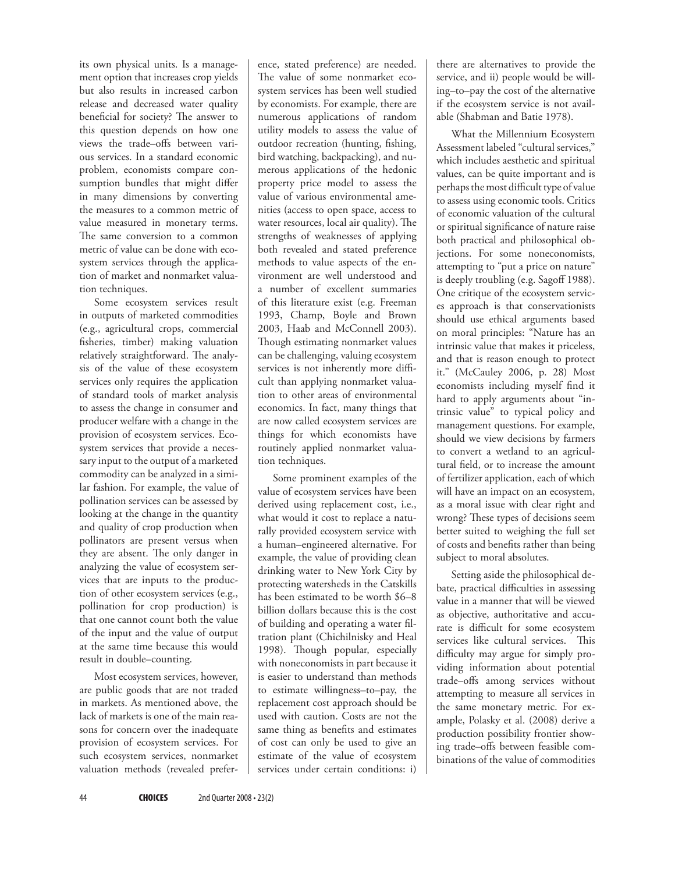its own physical units. Is a management option that increases crop yields but also results in increased carbon release and decreased water quality beneficial for society? The answer to this question depends on how one views the trade–offs between various services. In a standard economic problem, economists compare consumption bundles that might differ in many dimensions by converting the measures to a common metric of value measured in monetary terms. The same conversion to a common metric of value can be done with ecosystem services through the application of market and nonmarket valuation techniques.

Some ecosystem services result in outputs of marketed commodities (e.g., agricultural crops, commercial fisheries, timber) making valuation relatively straightforward. The analysis of the value of these ecosystem services only requires the application of standard tools of market analysis to assess the change in consumer and producer welfare with a change in the provision of ecosystem services. Ecosystem services that provide a necessary input to the output of a marketed commodity can be analyzed in a similar fashion. For example, the value of pollination services can be assessed by looking at the change in the quantity and quality of crop production when pollinators are present versus when they are absent. The only danger in analyzing the value of ecosystem services that are inputs to the production of other ecosystem services (e.g., pollination for crop production) is that one cannot count both the value of the input and the value of output at the same time because this would result in double–counting.

Most ecosystem services, however, are public goods that are not traded in markets. As mentioned above, the lack of markets is one of the main reasons for concern over the inadequate provision of ecosystem services. For such ecosystem services, nonmarket valuation methods (revealed preference, stated preference) are needed. The value of some nonmarket ecosystem services has been well studied by economists. For example, there are numerous applications of random utility models to assess the value of outdoor recreation (hunting, fishing, bird watching, backpacking), and numerous applications of the hedonic property price model to assess the value of various environmental amenities (access to open space, access to water resources, local air quality). The strengths of weaknesses of applying both revealed and stated preference methods to value aspects of the environment are well understood and a number of excellent summaries of this literature exist (e.g. Freeman 1993, Champ, Boyle and Brown 2003, Haab and McConnell 2003). Though estimating nonmarket values can be challenging, valuing ecosystem services is not inherently more difficult than applying nonmarket valuation to other areas of environmental economics. In fact, many things that are now called ecosystem services are things for which economists have routinely applied nonmarket valuation techniques.

Some prominent examples of the value of ecosystem services have been derived using replacement cost, i.e., what would it cost to replace a naturally provided ecosystem service with a human–engineered alternative. For example, the value of providing clean drinking water to New York City by protecting watersheds in the Catskills has been estimated to be worth \$6–8 billion dollars because this is the cost of building and operating a water filtration plant (Chichilnisky and Heal 1998). Though popular, especially with noneconomists in part because it is easier to understand than methods to estimate willingness–to–pay, the replacement cost approach should be used with caution. Costs are not the same thing as benefits and estimates of cost can only be used to give an estimate of the value of ecosystem services under certain conditions: i)

there are alternatives to provide the service, and ii) people would be willing–to–pay the cost of the alternative if the ecosystem service is not available (Shabman and Batie 1978).

What the Millennium Ecosystem Assessment labeled "cultural services," which includes aesthetic and spiritual values, can be quite important and is perhaps the most difficult type of value to assess using economic tools. Critics of economic valuation of the cultural or spiritual significance of nature raise both practical and philosophical objections. For some noneconomists, attempting to "put a price on nature" is deeply troubling (e.g. Sagoff 1988). One critique of the ecosystem services approach is that conservationists should use ethical arguments based on moral principles: "Nature has an intrinsic value that makes it priceless, and that is reason enough to protect it." (McCauley 2006, p. 28) Most economists including myself find it hard to apply arguments about "intrinsic value" to typical policy and management questions. For example, should we view decisions by farmers to convert a wetland to an agricultural field, or to increase the amount of fertilizer application, each of which will have an impact on an ecosystem, as a moral issue with clear right and wrong? These types of decisions seem better suited to weighing the full set of costs and benefits rather than being subject to moral absolutes.

Setting aside the philosophical debate, practical difficulties in assessing value in a manner that will be viewed as objective, authoritative and accurate is difficult for some ecosystem services like cultural services. This difficulty may argue for simply providing information about potential trade–offs among services without attempting to measure all services in the same monetary metric. For example, Polasky et al. (2008) derive a production possibility frontier showing trade–offs between feasible combinations of the value of commodities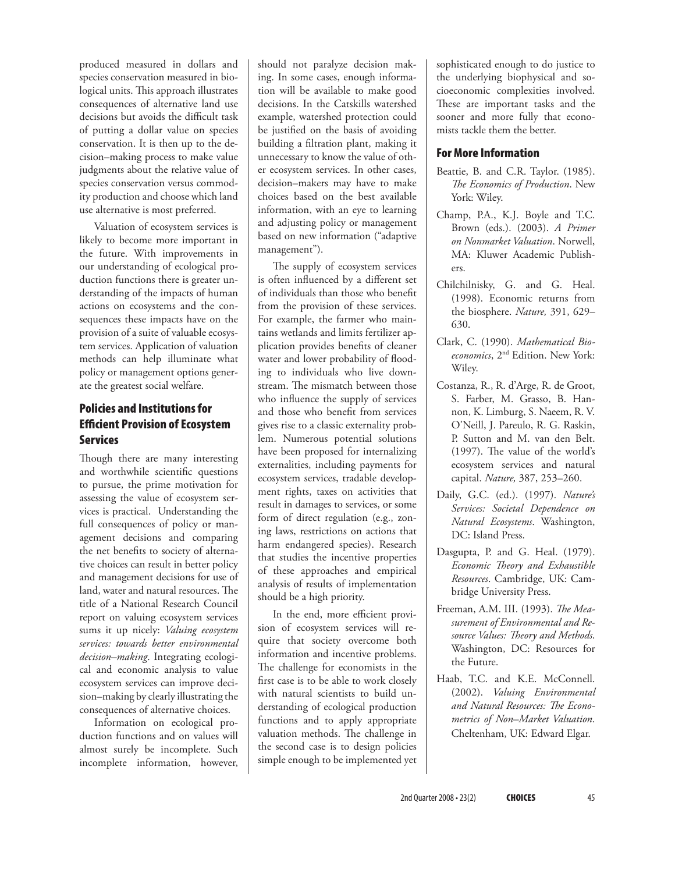produced measured in dollars and species conservation measured in biological units. This approach illustrates consequences of alternative land use decisions but avoids the difficult task of putting a dollar value on species conservation. It is then up to the decision–making process to make value judgments about the relative value of species conservation versus commodity production and choose which land use alternative is most preferred.

Valuation of ecosystem services is likely to become more important in the future. With improvements in our understanding of ecological production functions there is greater understanding of the impacts of human actions on ecosystems and the consequences these impacts have on the provision of a suite of valuable ecosystem services. Application of valuation methods can help illuminate what policy or management options generate the greatest social welfare.

# Policies and Institutions for **Efficient Provision of Ecosystem** Services

Though there are many interesting and worthwhile scientific questions to pursue, the prime motivation for assessing the value of ecosystem services is practical. Understanding the full consequences of policy or management decisions and comparing the net benefits to society of alternative choices can result in better policy and management decisions for use of land, water and natural resources. The title of a National Research Council report on valuing ecosystem services sums it up nicely: *Valuing ecosystem services: towards better environmental decision–making*. Integrating ecological and economic analysis to value ecosystem services can improve decision–making by clearly illustrating the consequences of alternative choices.

Information on ecological production functions and on values will almost surely be incomplete. Such incomplete information, however,

should not paralyze decision making. In some cases, enough information will be available to make good decisions. In the Catskills watershed example, watershed protection could be justified on the basis of avoiding building a filtration plant, making it unnecessary to know the value of other ecosystem services. In other cases, decision–makers may have to make choices based on the best available information, with an eye to learning and adjusting policy or management based on new information ("adaptive management").

The supply of ecosystem services is often influenced by a different set of individuals than those who benefit from the provision of these services. For example, the farmer who maintains wetlands and limits fertilizer application provides benefits of cleaner water and lower probability of flooding to individuals who live downstream. The mismatch between those who influence the supply of services and those who benefit from services gives rise to a classic externality problem. Numerous potential solutions have been proposed for internalizing externalities, including payments for ecosystem services, tradable development rights, taxes on activities that result in damages to services, or some form of direct regulation (e.g., zoning laws, restrictions on actions that harm endangered species). Research that studies the incentive properties of these approaches and empirical analysis of results of implementation should be a high priority.

In the end, more efficient provision of ecosystem services will require that society overcome both information and incentive problems. The challenge for economists in the first case is to be able to work closely with natural scientists to build understanding of ecological production functions and to apply appropriate valuation methods. The challenge in the second case is to design policies simple enough to be implemented yet

sophisticated enough to do justice to the underlying biophysical and socioeconomic complexities involved. These are important tasks and the sooner and more fully that economists tackle them the better.

#### For More Information

- Beattie, B. and C.R. Taylor. (1985). *!e Economics of Production*. New York: Wiley.
- Champ, P.A., K.J. Boyle and T.C. Brown (eds.). (2003). *A Primer on Nonmarket Valuation*. Norwell, MA: Kluwer Academic Publishers.
- Chilchilnisky, G. and G. Heal. (1998). Economic returns from the biosphere. *Nature,* 391, 629– 630.
- Clark, C. (1990). *Mathematical Bioeconomics*, 2nd Edition. New York: Wiley.
- Costanza, R., R. d'Arge, R. de Groot, S. Farber, M. Grasso, B. Hannon, K. Limburg, S. Naeem, R. V. O'Neill, J. Pareulo, R. G. Raskin, P. Sutton and M. van den Belt.  $(1997)$ . The value of the world's ecosystem services and natural capital. *Nature,* 387, 253–260.
- Daily, G.C. (ed.). (1997). *Nature's Services: Societal Dependence on Natural Ecosystems*. Washington, DC: Island Press.
- Dasgupta, P. and G. Heal. (1979). *Economic !eory and Exhaustible Resources*. Cambridge, UK: Cambridge University Press.
- Freeman, A.M. III. (1993). *The Measurement of Environmental and Resource Values: !eory and Methods*. Washington, DC: Resources for the Future.
- Haab, T.C. and K.E. McConnell. (2002). *Valuing Environmental and Natural Resources: !e Econometrics of Non–Market Valuation*. Cheltenham, UK: Edward Elgar.